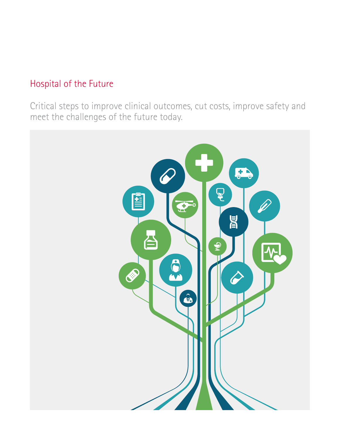## Hospital of the Future

Critical steps to improve clinical outcomes, cut costs, improve safety and meet the challenges of the future today.

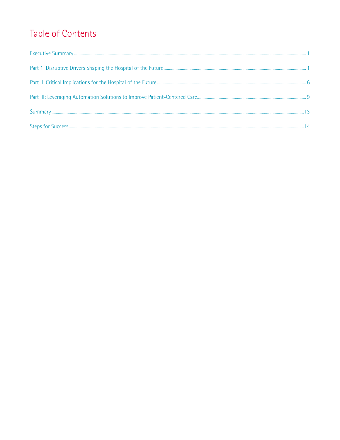# Table of Contents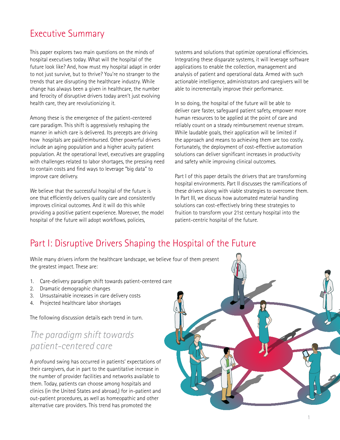### <span id="page-2-0"></span>Executive Summary

This paper explores two main questions on the minds of hospital executives today. What will the hospital of the future look like? And, how must my hospital adapt in order to not just survive, but to thrive? You're no stranger to the trends that are disrupting the healthcare industry. While change has always been a given in healthcare, the number and ferocity of disruptive drivers today aren't just evolving health care, they are revolutionizing it.

Among these is the emergence of the patient-centered care paradigm. This shift is aggressively reshaping the manner in which care is delivered. Its precepts are driving how hospitals are paid/reimbursed. Other powerful drivers include an aging population and a higher acuity patient population. At the operational level, executives are grappling with challenges related to labor shortages, the pressing need to contain costs and find ways to leverage "big data" to improve care delivery.

We believe that the successful hospital of the future is one that efficiently delivers quality care and consistently improves clinical outcomes. And it will do this while providing a positive patient experience. Moreover, the model hospital of the future will adopt workflows, policies,

systems and solutions that optimize operational efficiencies. Integrating these disparate systems, it will leverage software applications to enable the collection, management and analysis of patient and operational data. Armed with such actionable intelligence, administrators and caregivers will be able to incrementally improve their performance.

In so doing, the hospital of the future will be able to deliver care faster, safeguard patient safety, empower more human resources to be applied at the point of care and reliably count on a steady reimbursement revenue stream. While laudable goals, their application will be limited if the approach and means to achieving them are too costly. Fortunately, the deployment of cost-effective automation solutions can deliver significant increases in productivity and safety while improving clinical outcomes.

Part I of this paper details the drivers that are transforming hospital environments. Part II discusses the ramifications of these drivers along with viable strategies to overcome them. In Part III, we discuss how automated material handling solutions can cost-effectively bring these strategies to fruition to transform your 21st century hospital into the patient-centric hospital of the future.

## Part I: Disruptive Drivers Shaping the Hospital of the Future

While many drivers inform the healthcare landscape, we believe four of them present the greatest impact. These are:

- 1. Care-delivery paradigm shift towards patient-centered care
- 2. Dramatic demographic changes
- 3. Unsustainable increases in care delivery costs
- 4. Projected healthcare labor shortages

The following discussion details each trend in turn.

### *The paradigm shift towards patient-centered care*

A profound swing has occurred in patients' expectations of their caregivers, due in part to the quantitative increase in the number of provider facilities and networks available to them. Today, patients can choose among hospitals and clinics (in the United States and abroad,) for in-patient and out-patient procedures, as well as homeopathic and other alternative care providers. This trend has promoted the

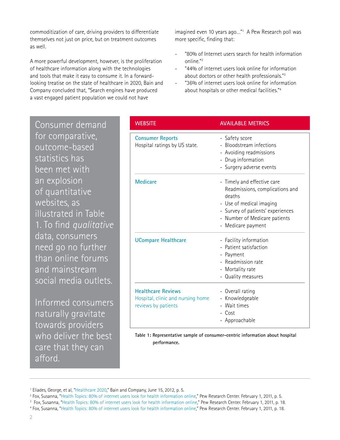commoditization of care, driving providers to differentiate themselves not just on price, but on treatment outcomes as well.

A more powerful development, however, is the proliferation of healthcare information along with the technologies and tools that make it easy to consume it. In a forwardlooking treatise on the state of healthcare in 2020, Bain and Company concluded that, "Search engines have produced a vast engaged patient population we could not have

imagined even 10 years ago…"1 A Pew Research poll was more specific, finding that:

- "80% of Internet users search for health information online."2
- "44% of internet users look online for information about doctors or other health professionals."3
- "36% of internet users look online for information about hospitals or other medical facilities."4

Consumer demand for comparative, outcome-based statistics has been met with an explosion of quantitative websites, as illustrated in Table 1. To find *qualitative* data, consumers need go no further than online forums and mainstream social media outlets.

Informed consumers naturally gravitate towards providers who deliver the best care that they can afford.

| <b>WEBSITE</b>                                                                        | <b>AVAILABLE METRICS</b>                                                                                                                                                                         |
|---------------------------------------------------------------------------------------|--------------------------------------------------------------------------------------------------------------------------------------------------------------------------------------------------|
| <b>Consumer Reports</b><br>Hospital ratings by US state.                              | - Safety score<br>- Bloodstream infections<br>- Avoiding readmissions<br>- Drug information<br>- Surgery adverse events                                                                          |
| <b>Medicare</b>                                                                       | - Timely and effective care<br>Readmissions, complications and<br>deaths<br>- Use of medical imaging<br>- Survey of patients' experiences<br>- Number of Medicare patients<br>- Medicare payment |
| <b>UCompare Healthcare</b>                                                            | - Facility information<br>- Patient satisfaction<br>- Payment<br>- Readmission rate<br>- Mortality rate<br>- Quality measures                                                                    |
| <b>Healthcare Reviews</b><br>Hospital, clinic and nursing home<br>reviews by patients | - Overall rating<br>- Knowledgeable<br>Wait times<br>$\overline{\phantom{0}}$<br>- Cost<br>- Approachable                                                                                        |

**Table 1: Representative sample of consumer-centric information about hospital performance.** 

<sup>&</sup>lt;sup>1</sup> Eliades, George, et al, "[Healthcare 2020,](http://www.bain.com/Images/BAIN_BRIEF_Healthcare_2020.pdf)" Bain and Company, June 15, 2012, p. 5.

<sup>2</sup> Fox, Susanna, "[Health Topics: 80% of internet users look for health information online,](http://pewinternet.org/Reports/2011/HealthTopics.aspx)" Pew Research Center. February 1, 2011, p. 5.

<sup>3</sup> Fox, Susanna, ["Health Topics: 80% of internet users look for health information online](http://pewinternet.org/Reports/2011/HealthTopics.aspx)," Pew Research Center. February 1, 2011, p. 18.

<sup>4</sup> Fox, Susanna, "[Health Topics: 80% of internet users look for health information online,](http://pewinternet.org/Reports/2011/HealthTopics.aspx)" Pew Research Center. February 1, 2011, p. 18.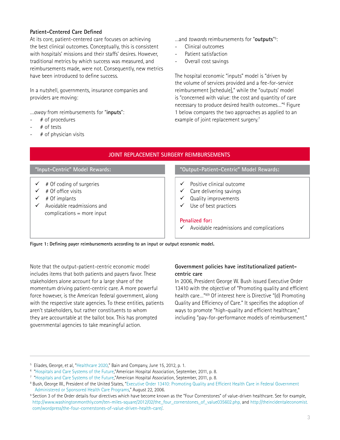#### **Patient-Centered Care Defined**

At its core, patient-centered care focuses on achieving the best clinical outcomes. Conceptually, this is consistent with hospitals' missions and their staffs' desires. However, traditional metrics by which success was measured, and reimbursements made, were not. Consequently, new metrics have been introduced to define success.

In a nutshell, governments, insurance companies and providers are moving:

*…away* from reimbursements for "**inputs**":

- # of procedures
- $#$  of tests
- $#$  of physician visits

…and *towards* reimbursements for "**outputs**" 5 :

- Clinical outcomes
- Patient satisfaction
- Overall cost savings

The hospital economic "inputs" model is "driven by the volume of services provided and a fee-for-service reimbursement [schedule]," while the "outputs' model is "concerned with value: the cost and quantity of care necessary to produce desired health outcomes…"6 Figure 1 below compares the two approaches as applied to an example of joint replacement surgery.<sup>7</sup>

| JOINT REPLACEMENT SURGERY REIMBURSEMENTS                                                                                      |                                                                                                                      |  |  |
|-------------------------------------------------------------------------------------------------------------------------------|----------------------------------------------------------------------------------------------------------------------|--|--|
| "Input-Centric" Model Rewards:                                                                                                | "Output-Patient-Centric" Model Rewards:                                                                              |  |  |
| # Of coding of surgeries<br># Of office visits<br># Of implants<br>Avoidable readmissions and<br>complications $=$ more input | Positive clinical outcome<br>✓<br>Care delivering savings<br>v<br>Quality improvements<br>Use of best practices<br>✓ |  |  |
|                                                                                                                               | Penalized for:<br>Avoidable readmissions and complications<br>$\checkmark$                                           |  |  |

**Figure 1: Defining payer reimbursements according to an input or output economic model.**

Note that the output-patient-centric economic model includes items that both patients and payers favor. These stakeholders alone account for a large share of the momentum driving patient-centric care. A more powerful force however, is the American federal government, along with the respective state agencies. To these entities, patients aren't stakeholders, but rather constituents to whom they are accountable at the ballot box. This has prompted governmental agencies to take meaningful action.

#### **Government policies have institutionalized patientcentric care**

In 2006, President George W. Bush issued Executive Order 13410 with the objective of "Promoting quality and efficient health care…"8/9 Of interest here is Directive "(d) Promoting Quality and Efficiency of Care." It specifies the adoption of ways to promote "high-quality and efficient healthcare," including "pay-for-performance models of reimbursement."

<sup>&</sup>lt;sup>5</sup> Eliades, George, et al, "[Healthcare 2020](http://www.bain.com/Images/BAIN_BRIEF_Healthcare_2020.pdf)," Bain and Company, June 15, 2012, p. 1.

<sup>6</sup> "[Hospitals and Care Systems of the Future](http://www.aha.org/content/11/hospitals-care-systems-of-future.pdf),"American Hospital Association, September, 2011, p. 8.

<sup>7</sup> "[Hospitals and Care Systems of the Future](http://www.aha.org/content/11/hospitals-care-systems-of-future.pdf),"American Hospital Association, September, 2011, p. 8.

 $^{\rm 8}$  Bush, George W., President of the United States, "Executive Order 13410: Promoting Quality and Efficient Health Care in Federal Government  [Administered or Sponsored Health Care Programs](http://en.wikisource.org/wiki/Executive_Order_13410)," August 22, 2006.

<sup>&</sup>lt;sup>9</sup> Section 3 of the Order details four directives which have become known as the "Four Cornerstones" of value-driven healthcare. See for example, [http://www.washingtonmonthly.com/ten-miles-square/2012/02/the\\_four\\_cornerstones\\_of\\_value035602.php](http://www.washingtonmonthly.com/ten-miles-square/2012/02/the_four_cornerstones_of_value035602.php), and [http://theincidentaleconomist.](http://theincidentaleconomist.com/wordpress/the-four-cornerstones-of-value-driven-health-care/)  [com/wordpress/the-four-cornerstones-of-value-driven-health-care/.](http://theincidentaleconomist.com/wordpress/the-four-cornerstones-of-value-driven-health-care/)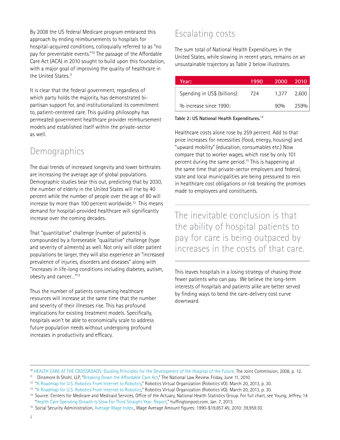By 2008 the US federal Medicare program embraced this approach by ending reimbursements to hospitals for hospital-acquired conditions, colloquially referred to as "no pay for preventable events."10 The passage of the Affordable Care Act (ACA) in 2010 sought to build upon this foundation, with a major goal of improving the quality of healthcare in the United States.<sup>11</sup>

It is clear that the federal government, regardless of which party holds the majority, has demonstrated bipartisan support for, and institutionalized its commitment to, patient-centered care. This guiding philosophy has permeated government healthcare provider reimbursement models and established itself within the private-sector as well.

### Demographics

The dual trends of increased longevity and lower birthrates are increasing the average age of global populations. Demographic studies bear this out, predicting that by 2030, the number of elderly in the United States will rise by 40 percent while the number of people over the age of 80 will increase by more than 100 percent worldwide.<sup>12</sup> This means demand for hospital-provided healthcare will significantly increase over the coming decades.

That "quantitative" challenge (number of patients) is compounded by a foreseeable "qualitative" challenge (type and severity of ailments) as well. Not only will older patient populations be larger, they will also experience an "increased prevalence of injuries, disorders and diseases" along with "increases in life-long conditions including diabetes, autism, obesity and cancer…"13

Thus the number of patients consuming healthcare resources will increase at the same time that the number and severity of their illnesses rise. This has profound implications for existing treatment models. Specifically, hospitals won't be able to economically scale to address future population needs without undergoing profound increases in productivity and efficacy.

## Escalating costs

The sum total of National Health Expenditures in the United States, while slowing in recent years, remains on an unsustainable trajectory as Table 2 below illustrates.

| Year:                        | 1990 | 2000  | -2010 |
|------------------------------|------|-------|-------|
| Spending in US\$ (billions): | 724  | 1.377 | 2,600 |
| % increase since 1990:       |      | 90%   | 259%  |

**Table 2: US National Health Expenditures.**<sup>14</sup>

Healthcare costs alone rose by 259 percent. Add to that price increases for necessities (food, energy, housing) and "upward mobility" (education, consumables etc.) Now compare that to worker wages, which rose by only 101 percent during the same period.<sup>15</sup> This is happening at the same time that private-sector employers and federal, state and local municipalities are being pressured to rein in healthcare cost obligations or risk breaking the promises made to employees and constituents.

The inevitable conclusion is that the ability of hospital patients to pay for care is being outpaced by increases in the costs of that care.

This leaves hospitals in a losing strategy of chasing those fewer patients who can pay. We believe the long-term interests of hospitals and patients alike are better served by finding ways to bend the care-delivery cost curve downward.

<sup>10</sup> [HEALTH CARE AT THE CROSSROADS: Guiding Principles for the Development of the Hospital of the Future.](http://www.jointcommission.org/assets/1/18/Hosptal_Future.pdf) The Joint Commission, 2008, p. 12.

<sup>&</sup>lt;sup>11</sup> Dinsmore & Shohl, LLP, ["Breaking Down the Affordable Care Act](http://www.natlawreview.com/article/breaking-down-affordable-care-act)," The National Law Review. Friday, June 11, 2010.

<sup>&</sup>lt;sup>12</sup> ["A Roadmap for U.S. Robotics From Internet to Robotics,](http://robotics-vo.us/sites/default/files/2013 Robotics Roadmap-rs.pdf)" Robotics Virtual Organization (Robotics VO). March 20, 2013, p. 30.

<sup>&</sup>lt;sup>13</sup> ["A Roadmap for U.S. Robotics From Internet to Robotics,](http://robotics-vo.us/sites/default/files/2013 Robotics Roadmap-rs.pdf)" Robotics Virtual Organization (Robotics VO). March 20, 2013, p. 30.

<sup>&</sup>lt;sup>14</sup> Source: Centers for Medicare and Medicaid Services, Office of the Actuary, National Health Statistics Group. For full chart, see Young, Jeffrey, 14 "[Health Care Spending Growth Is Slow For Third Straight Year: Report](http://www.huffingtonpost.com/2013/01/07/health-care-spending-growth-report_n_2426407.html)," huffingtonpost.com, Jan. 7, 2013.

<sup>15</sup> Social Security Administration, [Average Wage Index.](http://www.ssa.gov/OACT/COLA/awidevelop.html), Wage Average Amount figures: 1990-\$19,857.45; 2010: 39,959.30.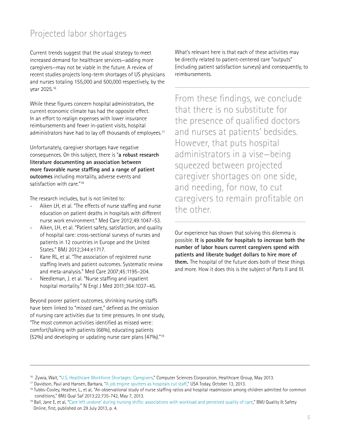### <span id="page-6-0"></span>Projected labor shortages

Current trends suggest that the usual strategy to meet increased demand for healthcare services—adding more caregivers—may not be viable in the future. A review of recent studies projects long-term shortages of US physicians and nurses totaling 155,000 and 500,000 respectively, by the year 2025.16

While these figures concern hospital administrators, the current economic climate has had the opposite effect. In an effort to realign expenses with lower insurance reimbursements and fewer in-patient visits, hospital administrators have had to lay off thousands of employees.<sup>17</sup>

Unfortunately, caregiver shortages have negative consequences. On this subject, there is "**a robust research literature documenting an association between more favorable nurse staffing and a range of patient outcomes** including mortality, adverse events and satisfaction with care."18

The research includes, but is not limited to:

- Aiken LH, et al. "The effects of nurse staffing and nurse education on patient deaths in hospitals with different nurse work environment." Med Care 2012;49:1047–53.
- Aiken, LH, et al. "Patient safety, satisfaction, and quality of hospital care: cross-sectional surveys of nurses and patients in 12 countries in Europe and the United States." BMJ 2012;344:e1717.
- Kane RL, et al. "The association of registered nurse staffing levels and patient outcomes. Systematic review and meta-analysis." Med Care 2007;45:1195–204.
- Needleman, J. et al. "Nurse staffing and inpatient hospital mortality." N Engl J Med 2011;364:1037–45.

Beyond poorer patient outcomes, shrinking nursing staffs have been linked to "missed care," defined as the omission of nursing care activities due to time pressures. In one study, "The most common activities identified as missed were: comfort/talking with patients (66%), educating patients (52%) and developing or updating nurse care plans (47%)."19

What's relevant here is that each of these activities may be directly related to patient-centered care "outputs" (including patient satisfaction surveys) and consequently, to reimbursements.

From these findings, we conclude that there is no substitute for the presence of qualified doctors and nurses at patients' bedsides. However, that puts hospital administrators in a vise—being squeezed between projected caregiver shortages on one side, and needing, for now, to cut caregivers to remain profitable on the other.

Our experience has shown that solving this dilemma is possible. **It is possible for hospitals to increase both the number of labor hours current caregivers spend with patients and liberate budget dollars to hire more of them.** The hospital of the future does both of these things and more. How it does this is the subject of Parts II and III.

<sup>&</sup>lt;sup>16</sup> Zywia, Walt, "U.S. Healthcare Workforce Shortages: Caregivers," Computer Sciences Corporation, Healthcare Group, May 2013.

<sup>17</sup> Davidson, Paul and Hansen, Barbara, "[A job engine sputters as hospitals cut staff](http://www.usatoday.com/story/money/business/2013/10/13/hospital-job-cuts/2947929/)," USA Today, October 13, 2013.

<sup>&</sup>lt;sup>18</sup> Tubbs-Cooley, Heather, L., et al, "An observational study of nurse staffing ratios and hospital readmission among children admitted for common conditions," BMJ Qual Saf 2013;22:735-742, May 7, 2013.

<sup>&</sup>lt;sup>19</sup> Ball, Jane E, et al, "[Care left undone' during nursing shifts: associations with workload and perceived quality of care](http://qualitysafety.bmj.com/content/22/9/735.full?sid=d63a79be-850c-43ed-9997-8a6667836a4a)," BMJ Quality & Safety Online, first, published on 29 July 2013, p. 4.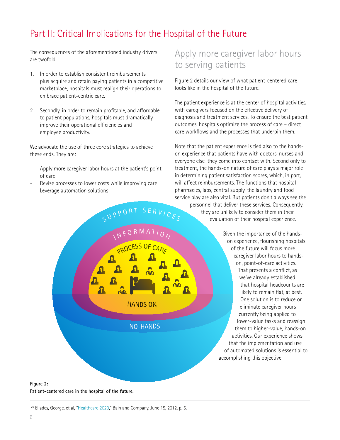## <span id="page-7-0"></span>Part II: Critical Implications for the Hospital of the Future

PROCESS OF CARE

NO-HANDS

HANDS ON

O R M A T

I

 $\mathbf{a}$ 

 $\Omega$ 

The consequences of the aforementioned industry drivers are twofold.

- 1. In order to establish consistent reimbursements, plus acquire and retain paying patients in a competitive marketplace, hospitals must realign their operations to embrace patient-centric care.
- 2. Secondly, in order to remain profitable, and affordable to patient populations, hospitals must dramatically improve their operational efficiencies and employee productivity.

We advocate the use of three core strategies to achieve these ends. They are:

- Apply more caregiver labor hours at the patient's point of care
- Revise processes to lower costs while improving care
- Leverage automation solutions

### Apply more caregiver labor hours to serving patients

Figure 2 details our view of what patient-centered care looks like in the hospital of the future.

The patient experience is at the center of hospital activities, with caregivers focused on the effective delivery of diagnosis and treatment services. To ensure the best patient outcomes, hospitals optimize the process of care – direct care workflows and the processes that underpin them.

Note that the patient experience is tied also to the handson experience that patients have with doctors, nurses and everyone else they come into contact with. Second only to treatment, the hands-on nature of care plays a major role in determining patient satisfaction scores, which, in part, will affect reimbursements. The functions that hospital pharmacies, labs, central supply, the laundry and food service play are also vital. But patients don't always see the personnel that deliver these services. Consequently, they are unlikely to consider them in their evaluation of their hospital experience. SUPPORT SERVICES

> Given the importance of the handson experience, flourishing hospitals of the future will focus more caregiver labor hours to handson, point-of-care activities. That presents a conflict, as we've already established that hospital headcounts are likely to remain flat, at best. One solution is to reduce or eliminate caregiver hours currently being applied to lower-value tasks and reassign them to higher-value, hands-on activities. Our experience shows that the implementation and use of automated solutions is essential to accomplishing this objective.

#### **Figure 2: Patient-centered care in the hospital of the future.**

<sup>&</sup>lt;sup>20</sup> Eliades, George, et al, ["Healthcare 2020](http://www.bain.com/Images/BAIN_BRIEF_Healthcare_2020.pdf)," Bain and Company, June 15, 2012, p. 5.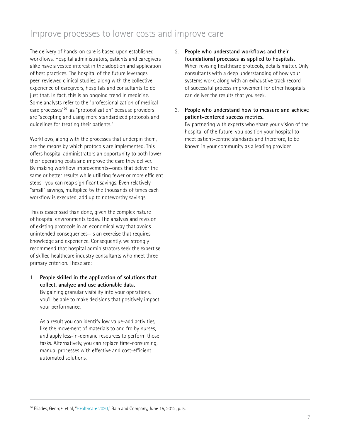### Improve processes to lower costs and improve care

The delivery of hands-on care is based upon established workflows. Hospital administrators, patients and caregivers alike have a vested interest in the adoption and application of best practices. The hospital of the future leverages peer-reviewed clinical studies, along with the collective experience of caregivers, hospitals and consultants to do just that. In fact, this is an ongoing trend in medicine. Some analysts refer to the "professionalization of medical care processes"20 as "protocolization" because providers are "accepting and using more standardized protocols and guidelines for treating their patients."

Workflows, along with the processes that underpin them, are the means by which protocols are implemented. This offers hospital administrators an opportunity to both lower their operating costs and improve the care they deliver. By making workflow improvements—ones that deliver the same or better results while utilizing fewer or more efficient steps—you can reap significant savings. Even relatively "small" savings, multiplied by the thousands of times each workflow is executed, add up to noteworthy savings.

This is easier said than done, given the complex nature of hospital environments today. The analysis and revision of existing protocols in an economical way that avoids unintended consequences—is an exercise that requires knowledge and experience. Consequently, we strongly recommend that hospital administrators seek the expertise of skilled healthcare industry consultants who meet three primary criterion. These are:

1. **People skilled in the application of solutions that collect, analyze and use actionable data.** By gaining granular visibility into your operations, you'll be able to make decisions that positively impact your performance.

As a result you can identify low value-add activities, like the movement of materials to and fro by nurses, and apply less-in-demand resources to perform those tasks. Alternatively, you can replace time-consuming, manual processes with effective and cost-efficient automated solutions.

- 2. **People who understand workflows and their foundational processes as applied to hospitals.**  When revising healthcare protocols, details matter. Only consultants with a deep understanding of how your systems work, along with an exhaustive track record of successful process improvement for other hospitals can deliver the results that you seek.
- 3. **People who understand how to measure and achieve patient-centered success metrics.**  By partnering with experts who share your vision of the hospital of the future, you position your hospital to meet patient-centric standards and therefore, to be known in your community as a leading provider.

<sup>&</sup>lt;sup>20</sup> Eliades, George, et al, ["Healthcare 2020](http://www.bain.com/Images/BAIN_BRIEF_Healthcare_2020.pdf)," Bain and Company, June 15, 2012, p. 5.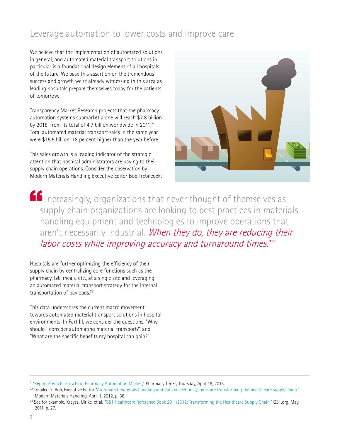### Leverage automation to lower costs and improve care

We believe that the implementation of automated solutions in general, and automated material transport solutions in particular is a foundational design element of all hospitals of the future. We base this assertion on the tremendous success and growth we're already witnessing in this area as leading hospitals prepare themselves today for the patients of tomorrow.

Transparency Market Research projects that the pharmacy automation systems submarket alone will reach \$7.8 billion by 2018, from its total of 4.7 billion worldwide in 2011.<sup>21</sup> Total automated material transport sales in the same year were \$15.5 billion, 18 percent higher than the year before.

This sales growth is a leading indicator of the strategic attention that hospital administrators are paying to their supply chain operations. Consider the observation by Modern Materials Handling Executive Editor Bob Trebilcock:



Increasingly, organizations that never thought of themselves as supply chain organizations are looking to best practices in materials handling equipment and technologies to improve operations that aren't necessarily industrial. When they do, they are reducing their labor costs while improving accuracy and turnaround times." $^{\rm n2}$ 

Hospitals are further optimizing the efficiency of their supply chain by centralizing core functions such as the pharmacy, lab, meals, etc., at a single site and leveraging an automated material transport strategy for the internal transportation of payloads.<sup>23</sup>

This data underscores the current macro movement towards automated material transport solutions in hospital environments. In Part III, we consider the questions, "Why should I consider automating material transport?" and "What are the specific benefits my hospital can gain?"

<sup>&</sup>lt;sup>21</sup>"[Report Predicts Growth in Pharmacy Automation Market,](http://www.pharmacytimes.com/publications/issue/2013/April2013/Report-Predicts-Growth-in-Pharmacy-Automation-Market)" Pharmacy Times, Thursday, April 18, 2013.

<sup>&</sup>lt;sup>22</sup> Trebilcock, Bob, Executive Editor "[Automated materials handling and data collection systems are transforming the health care supply chain.](http://mmh.com/images/site/MMH1204_BPPharma_HealthCare.pdf)" Modern Materials Handling. April 1, 2012, p. 38.

<sup>&</sup>lt;sup>23</sup> See for example, Kreysa, Ulrike, et al, "[GS1 Healthcare Reference Book 2011/2012: Transforming the Healthcare Supply Chain,](http://www.ahrmm.org/ahrmm/ext/standards/files/GS1_Healthcare_Reference_Book_2011_2012.pdf)" GS1.org, May, 2011, p. 27.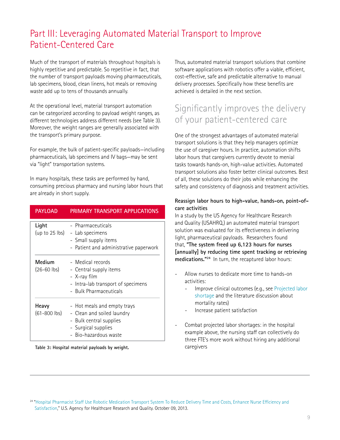### <span id="page-10-0"></span>Part III: Leveraging Automated Material Transport to Improve Patient-Centered Care

Much of the transport of materials throughout hospitals is highly repetitive and predictable. So repetitive in fact, that the number of transport payloads moving pharmaceuticals, lab specimens, blood, clean linens, hot meals or removing waste add up to tens of thousands annually.

At the operational level, material transport automation can be categorized according to payload weight ranges, as different technologies address different needs (see Table 3). Moreover, the weight ranges are generally associated with the transport's primary purpose.

For example, the bulk of patient-specific payloads—including pharmaceuticals, lab specimens and IV bags—may be sent via "light" transportation systems.

In many hospitals, these tasks are performed by hand, consuming precious pharmacy and nursing labor hours that are already in short supply.

| <b>PAYLOAD</b>            | PRIMARY TRANSPORT APPLICATIONS                                                                                                       |
|---------------------------|--------------------------------------------------------------------------------------------------------------------------------------|
| Light<br>(up to 25 lbs)   | - Pharmaceuticals<br>- Lab specimens<br>- Small supply items<br>- Patient and administrative paperwork                               |
| Medium<br>$(26-60)$ lbs)  | - Medical records<br>- Central supply items<br>- X-ray film<br>- Intra-lab transport of specimens<br>- Bulk Pharmaceuticals          |
| Heavy<br>$(61 - 800$ lbs) | - Hot meals and empty trays<br>- Clean and soiled laundry<br>- Bulk central supplies<br>- Surgical supplies<br>- Bio-hazardous waste |

**Table 3: Hospital material payloads by weight.**

Thus, automated material transport solutions that combine software applications with robotics offer a viable, efficient, cost-effective, safe and predictable alternative to manual delivery processes. Specifically how these benefits are achieved is detailed in the next section.

### Significantly improves the delivery of your patient-centered care

One of the strongest advantages of automated material transport solutions is that they help managers optimize the use of caregiver hours. In practice, automation shifts labor hours that caregivers currently devote to menial tasks towards hands-on, high-value activities. Automated transport solutions also foster better clinical outcomes. Best of all, these solutions do their jobs while enhancing the safety and consistency of diagnosis and treatment activities.

#### **Reassign labor hours to high-value, hands-on, point-ofcare activities**

In a study by the US Agency for Healthcare Research and Quality (USAHRQ,) an automated material transport solution was evaluated for its effectiveness in delivering light, pharmaceutical payloads. Researchers found that, **"The system freed up 6,123 hours for nurses [annually] by reducing time spent tracking or retrieving medications."24** In turn, the recaptured labor hours:

- Allow nurses to dedicate more time to hands-on activities:
	- Improve clinical outcomes (e.g., see Projected labor  [shortage](#page-6-0) and the literature discussion about mortality rates)
	- Increase patient satisfaction
- Combat projected labor shortages: in the hospital example above, the nursing staff can collectively do three FTE's more work without hiring any additional caregivers

<sup>24</sup> ["Hospital Pharmacist Staff Use Robotic Medication Transport System To Reduce Delivery Time and Costs, Enhance Nurse Efficiency and](http://www.innovations.ahrq.gov/content.aspx?id=3788)   [Satisfaction](http://www.innovations.ahrq.gov/content.aspx?id=3788)," U.S. Agency for Healthcare Research and Quality. October 09, 2013.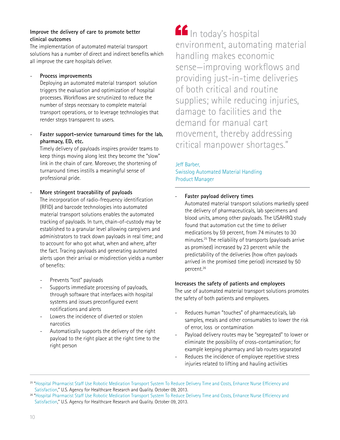#### **Improve the delivery of care to promote better clinical outcomes**

The implementation of automated material transport solutions has a number of direct and indirect benefits which all improve the care hospitals deliver.

#### - **Process improvements**

Deploying an automated material transport solution triggers the evaluation and optimization of hospital processes. Workflows are scrutinized to reduce the number of steps necessary to complete material transport operations, or to leverage technologies that render steps transparent to users.

#### Faster support-service turnaround times for the lab, **pharmacy, ED, etc.**

Timely delivery of payloads inspires provider teams to keep things moving along lest they become the "slow" link in the chain of care. Moreover, the shortening of turnaround times instills a meaningful sense of professional pride.

#### - **More stringent traceability of payloads**

The incorporation of radio-frequency identification (RFID) and barcode technologies into automated material transport solutions enables the automated tracking of payloads. In turn, chain-of-custody may be established to a granular level allowing caregivers and administrators to track down payloads in real time; and to account for who got what, when and where, after the fact. Tracing payloads and generating automated alerts upon their arrival or misdirection yields a number of benefits:

- Prevents "lost" payloads
- Supports immediate processing of payloads, through software that interfaces with hospital systems and issues preconfigured event notifications and alerts
- Lowers the incidence of diverted or stolen narcotics
- Automatically supports the delivery of the right payload to the right place at the right time to the right person

**In** In today's hospital environment, automating material handling makes economic sense—improving workflows and providing just-in-time deliveries of both critical and routine supplies; while reducing injuries, damage to facilities and the demand for manual cart movement, thereby addressing critical manpower shortages." E<sup>e</sup>

#### [Jeff Barber,](http://www.prweb.com/releases/2013/5/prweb10661451.htm)  [Swisslog Automated Material Handling](http://www.prweb.com/releases/2013/5/prweb10661451.htm)

[Product Manager](http://www.prweb.com/releases/2013/5/prweb10661451.htm)

#### - **Faster payload delivery times**

Automated material transport solutions markedly speed the delivery of pharmaceuticals, lab specimens and blood units, among other payloads. The USAHRQ study found that automation cut the time to deliver medications by 59 percent, from 74 minutes to 30 minutes.25 The reliability of transports (payloads arrive as promised) increased by 23 percent while the predictability of the deliveries (how often payloads arrived in the promised time period) increased by 50 percent.26

#### **Increases the safety of patients and employees**

The use of automated material transport solutions promotes the safety of both patients and employees.

- Reduces human "touches" of pharmaceuticals, lab samples, meals and other consumables to lower the risk of error, loss or contamination
- Payload delivery routes may be "segregated" to lower or eliminate the possibility of cross-contamination; for example keeping pharmacy and lab routes separated
- Reduces the incidence of employee repetitive stress injuries related to lifting and hauling activities

<sup>25</sup> ["Hospital Pharmacist Staff Use Robotic Medication Transport System To Reduce Delivery Time and Costs, Enhance Nurse Efficiency and](http://www.innovations.ahrq.gov/content.aspx?id=3788)   [Satisfaction](http://www.innovations.ahrq.gov/content.aspx?id=3788)," U.S. Agency for Healthcare Research and Quality. October 09, 2013.

<sup>26</sup> ["Hospital Pharmacist Staff Use Robotic Medication Transport System To Reduce Delivery Time and Costs, Enhance Nurse Efficiency and](http://www.innovations.ahrq.gov/content.aspx?id=3788)   [Satisfaction](http://www.innovations.ahrq.gov/content.aspx?id=3788)," U.S. Agency for Healthcare Research and Quality. October 09, 2013.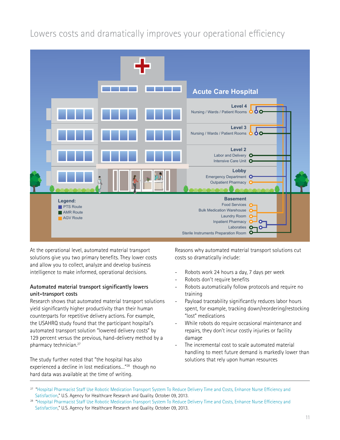### Lowers costs and dramatically improves your operational efficiency



At the operational level, automated material transport solutions give you two primary benefits. They lower costs and allow you to collect, analyze and develop business intelligence to make informed, operational decisions.

#### **Automated material transport significantly lowers unit-transport costs**

Research shows that automated material transport solutions yield significantly higher productivity than their human counterparts for repetitive delivery actions. For example, the USAHRQ study found that the participant hospital's automated transport solution "lowered delivery costs" by 129 percent versus the previous, hand-delivery method by a pharmacy technician.27

The study further noted that "the hospital has also experienced a decline in lost medications…"28 though no hard data was available at the time of writing.

Reasons why automated material transport solutions cut costs so dramatically include:

- Robots work 24 hours a day, 7 days per week
- Robots don't require benefits
- Robots automatically follow protocols and require no training
- Payload traceability significantly reduces labor hours spent, for example, tracking down/reordering/restocking "lost" medications
- While robots do require occasional maintenance and repairs, they don't incur costly injuries or facility damage
- The incremental cost to scale automated material handling to meet future demand is markedly lower than solutions that rely upon human resources

<sup>&</sup>lt;sup>27</sup> "Hospital Pharmacist Staff Use Robotic Medication Transport System To Reduce Delivery Time and Costs, Enhance Nurse Efficiency and  [Satisfaction,](http://www.innovations.ahrq.gov/content.aspx?id=3788)" U.S. Agency for Healthcare Research and Quality. October 09, 2013.

<sup>&</sup>lt;sup>28</sup> "Hospital Pharmacist Staff Use Robotic Medication Transport System To Reduce Delivery Time and Costs, Enhance Nurse Efficiency and  [Satisfaction,](http://www.innovations.ahrq.gov/content.aspx?id=3788)" U.S. Agency for Healthcare Research and Quality. October 09, 2013.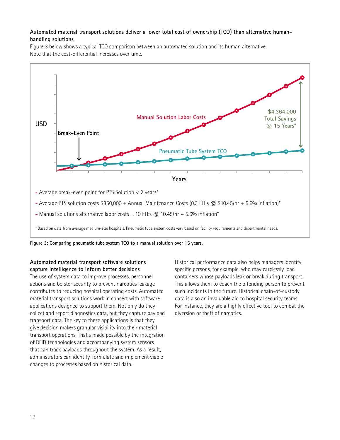#### **Automated material transport solutions deliver a lower total cost of ownership (TCO) than alternative humanhandling solutions**

Figure 3 below shows a typical TCO comparison between an automated solution and its human alternative. Note that the cost-differential increases over time.



**Figure 3: Comparing pneumatic tube system TCO to a manual solution over 15 years.** 

#### **Automated material transport software solutions capture intelligence to inform better decisions**

The use of system data to improve processes, personnel actions and bolster security to prevent narcotics leakage contributes to reducing hospital operating costs. Automated material transport solutions work in concert with software applications designed to support them. Not only do they collect and report diagnostics data, but they capture payload transport data. The key to these applications is that they give decision makers granular visibility into their material transport operations. That's made possible by the integration of RFID technologies and accompanying system sensors that can track payloads throughout the system. As a result, administrators can identify, formulate and implement viable changes to processes based on historical data.

Historical performance data also helps managers identify specific persons, for example, who may carelessly load containers whose payloads leak or break during transport. This allows them to coach the offending person to prevent such incidents in the future. Historical chain-of-custody data is also an invaluable aid to hospital security teams. For instance, they are a highly effective tool to combat the diversion or theft of narcotics.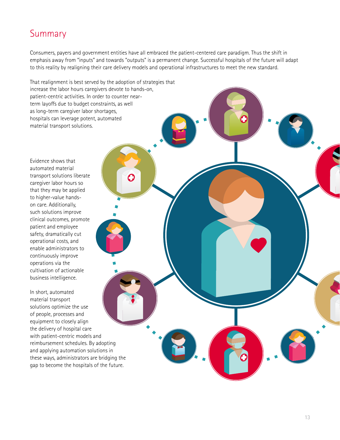### <span id="page-14-0"></span>Summary

Consumers, payers and government entities have all embraced the patient-centered care paradigm. Thus the shift in emphasis away from "inputs" and towards "outputs" is a permanent change. Successful hospitals of the future will adapt to this reality by realigning their care delivery models and operational infrastructures to meet the new standard.

That realignment is best served by the adoption of strategies that increase the labor hours caregivers devote to hands-on, patient-centric activities. In order to counter nearterm layoffs due to budget constraints, as well as long-term caregiver labor shortages, hospitals can leverage potent, automated material transport solutions.

O

Evidence shows that automated material transport solutions liberate caregiver labor hours so that they may be applied to higher-value handson care. Additionally, such solutions improve clinical outcomes, promote patient and employee safety, dramatically cut operational costs, and enable administrators to continuously improve operations via the cultivation of actionable business intelligence.

In short, automated material transport solutions optimize the use of people, processes and equipment to closely align the delivery of hospital care with patient-centric models and reimbursement schedules. By adopting and applying automation solutions in these ways, administrators are bridging the gap to become the hospitals of the future.